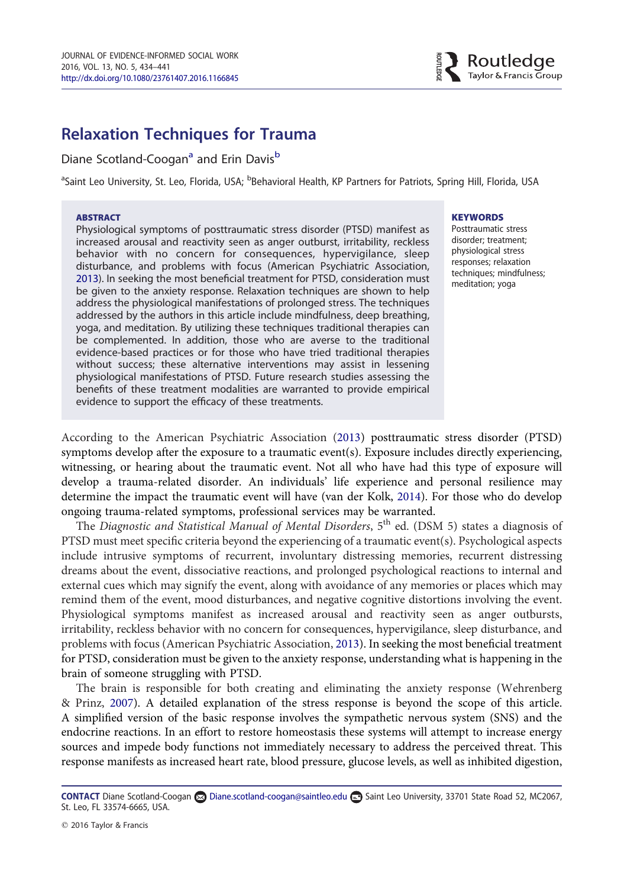# Relaxation Techniques for Trauma

## Diane Scotland-Coogan<sup>a</sup> and Erin Davis<sup>b</sup>

<sup>a</sup>Saint Leo University, St. Leo, Florida, USA; <sup>b</sup>Behavioral Health, KP Partners for Patriots, Spring Hill, Florida, USA

#### ABSTRACT

Physiological symptoms of posttraumatic stress disorder (PTSD) manifest as increased arousal and reactivity seen as anger outburst, irritability, reckless behavior with no concern for consequences, hypervigilance, sleep disturbance, and problems with focus (American Psychiatric Association, 2013). In seeking the most beneficial treatment for PTSD, consideration must be given to the anxiety response. Relaxation techniques are shown to help address the physiological manifestations of prolonged stress. The techniques addressed by the authors in this article include mindfulness, deep breathing, yoga, and meditation. By utilizing these techniques traditional therapies can be complemented. In addition, those who are averse to the traditional evidence-based practices or for those who have tried traditional therapies without success; these alternative interventions may assist in lessening physiological manifestations of PTSD. Future research studies assessing the benefits of these treatment modalities are warranted to provide empirical evidence to support the efficacy of these treatments.

#### **KEYWORDS**

Posttraumatic stress disorder; treatment; physiological stress responses; relaxation techniques; mindfulness; meditation; yoga

According to the American Psychiatric Association (2013) posttraumatic stress disorder (PTSD) symptoms develop after the exposure to a traumatic event(s). Exposure includes directly experiencing, witnessing, or hearing about the traumatic event. Not all who have had this type of exposure will develop a trauma-related disorder. An individuals' life experience and personal resilience may determine the impact the traumatic event will have (van der Kolk, 2014). For those who do develop ongoing trauma-related symptoms, professional services may be warranted.

The Diagnostic and Statistical Manual of Mental Disorders, 5<sup>th</sup> ed. (DSM 5) states a diagnosis of PTSD must meet specific criteria beyond the experiencing of a traumatic event(s). Psychological aspects include intrusive symptoms of recurrent, involuntary distressing memories, recurrent distressing dreams about the event, dissociative reactions, and prolonged psychological reactions to internal and external cues which may signify the event, along with avoidance of any memories or places which may remind them of the event, mood disturbances, and negative cognitive distortions involving the event. Physiological symptoms manifest as increased arousal and reactivity seen as anger outbursts, irritability, reckless behavior with no concern for consequences, hypervigilance, sleep disturbance, and problems with focus (American Psychiatric Association, 2013). In seeking the most beneficial treatment for PTSD, consideration must be given to the anxiety response, understanding what is happening in the brain of someone struggling with PTSD.

The brain is responsible for both creating and eliminating the anxiety response (Wehrenberg & Prinz, 2007). A detailed explanation of the stress response is beyond the scope of this article. A simplified version of the basic response involves the sympathetic nervous system (SNS) and the endocrine reactions. In an effort to restore homeostasis these systems will attempt to increase energy sources and impede body functions not immediately necessary to address the perceived threat. This response manifests as increased heart rate, blood pressure, glucose levels, as well as inhibited digestion,

CONTACT Diane Scotland-Coogan 2 Diane.scotland-coogan@saintleo.edu Saint Leo University, 33701 State Road 52, MC2067, St. Leo, FL 33574-6665, USA.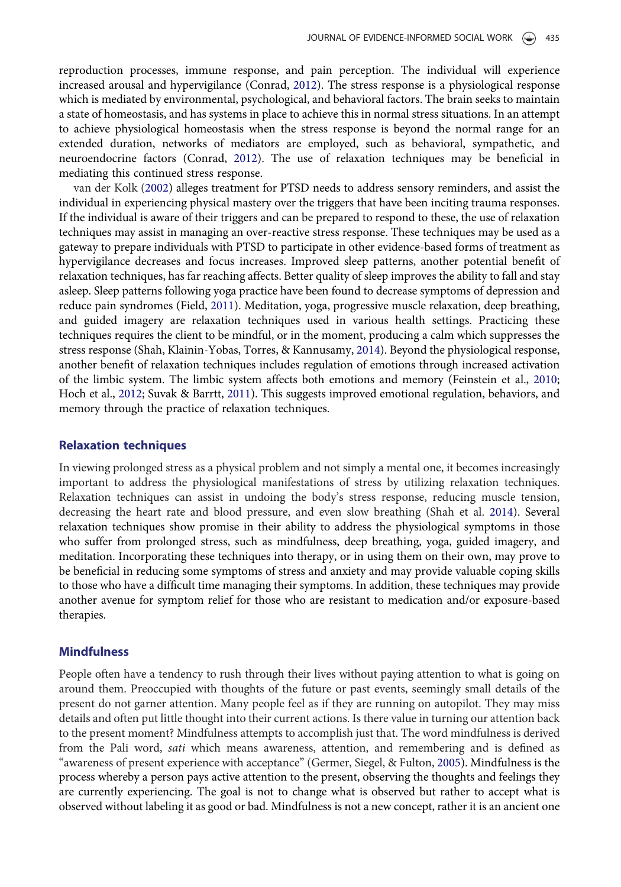reproduction processes, immune response, and pain perception. The individual will experience increased arousal and hypervigilance (Conrad, 2012). The stress response is a physiological response which is mediated by environmental, psychological, and behavioral factors. The brain seeks to maintain a state of homeostasis, and has systems in place to achieve this in normal stress situations. In an attempt to achieve physiological homeostasis when the stress response is beyond the normal range for an extended duration, networks of mediators are employed, such as behavioral, sympathetic, and neuroendocrine factors (Conrad, 2012). The use of relaxation techniques may be beneficial in mediating this continued stress response.

van der Kolk (2002) alleges treatment for PTSD needs to address sensory reminders, and assist the individual in experiencing physical mastery over the triggers that have been inciting trauma responses. If the individual is aware of their triggers and can be prepared to respond to these, the use of relaxation techniques may assist in managing an over-reactive stress response. These techniques may be used as a gateway to prepare individuals with PTSD to participate in other evidence-based forms of treatment as hypervigilance decreases and focus increases. Improved sleep patterns, another potential benefit of relaxation techniques, has far reaching affects. Better quality of sleep improves the ability to fall and stay asleep. Sleep patterns following yoga practice have been found to decrease symptoms of depression and reduce pain syndromes (Field, 2011). Meditation, yoga, progressive muscle relaxation, deep breathing, and guided imagery are relaxation techniques used in various health settings. Practicing these techniques requires the client to be mindful, or in the moment, producing a calm which suppresses the stress response (Shah, Klainin-Yobas, Torres, & Kannusamy, 2014). Beyond the physiological response, another benefit of relaxation techniques includes regulation of emotions through increased activation of the limbic system. The limbic system affects both emotions and memory (Feinstein et al., 2010; Hoch et al., 2012; Suvak & Barrtt, 2011). This suggests improved emotional regulation, behaviors, and memory through the practice of relaxation techniques.

### Relaxation techniques

In viewing prolonged stress as a physical problem and not simply a mental one, it becomes increasingly important to address the physiological manifestations of stress by utilizing relaxation techniques. Relaxation techniques can assist in undoing the body's stress response, reducing muscle tension, decreasing the heart rate and blood pressure, and even slow breathing (Shah et al. 2014). Several relaxation techniques show promise in their ability to address the physiological symptoms in those who suffer from prolonged stress, such as mindfulness, deep breathing, yoga, guided imagery, and meditation. Incorporating these techniques into therapy, or in using them on their own, may prove to be beneficial in reducing some symptoms of stress and anxiety and may provide valuable coping skills to those who have a difficult time managing their symptoms. In addition, these techniques may provide another avenue for symptom relief for those who are resistant to medication and/or exposure-based therapies.

#### **Mindfulness**

People often have a tendency to rush through their lives without paying attention to what is going on around them. Preoccupied with thoughts of the future or past events, seemingly small details of the present do not garner attention. Many people feel as if they are running on autopilot. They may miss details and often put little thought into their current actions. Is there value in turning our attention back to the present moment? Mindfulness attempts to accomplish just that. The word mindfulness is derived from the Pali word, sati which means awareness, attention, and remembering and is defined as "awareness of present experience with acceptance" (Germer, Siegel, & Fulton, 2005). Mindfulness is the process whereby a person pays active attention to the present, observing the thoughts and feelings they are currently experiencing. The goal is not to change what is observed but rather to accept what is observed without labeling it as good or bad. Mindfulness is not a new concept, rather it is an ancient one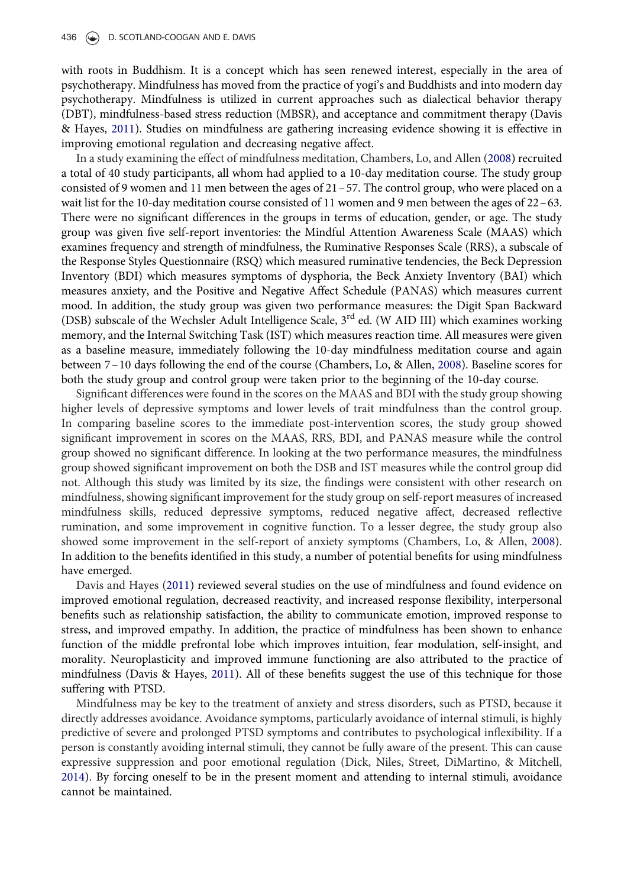with roots in Buddhism. It is a concept which has seen renewed interest, especially in the area of psychotherapy. Mindfulness has moved from the practice of yogi's and Buddhists and into modern day psychotherapy. Mindfulness is utilized in current approaches such as dialectical behavior therapy (DBT), mindfulness-based stress reduction (MBSR), and acceptance and commitment therapy (Davis & Hayes, 2011). Studies on mindfulness are gathering increasing evidence showing it is effective in improving emotional regulation and decreasing negative affect.

In a study examining the effect of mindfulness meditation, Chambers, Lo, and Allen (2008) recruited a total of 40 study participants, all whom had applied to a 10-day meditation course. The study group consisted of 9 women and 11 men between the ages of 21–57. The control group, who were placed on a wait list for the 10-day meditation course consisted of 11 women and 9 men between the ages of 22–63. There were no significant differences in the groups in terms of education, gender, or age. The study group was given five self-report inventories: the Mindful Attention Awareness Scale (MAAS) which examines frequency and strength of mindfulness, the Ruminative Responses Scale (RRS), a subscale of the Response Styles Questionnaire (RSQ) which measured ruminative tendencies, the Beck Depression Inventory (BDI) which measures symptoms of dysphoria, the Beck Anxiety Inventory (BAI) which measures anxiety, and the Positive and Negative Affect Schedule (PANAS) which measures current mood. In addition, the study group was given two performance measures: the Digit Span Backward (DSB) subscale of the Wechsler Adult Intelligence Scale, 3<sup>rd</sup> ed. (W AID III) which examines working memory, and the Internal Switching Task (IST) which measures reaction time. All measures were given as a baseline measure, immediately following the 10-day mindfulness meditation course and again between 7–10 days following the end of the course (Chambers, Lo, & Allen, 2008). Baseline scores for both the study group and control group were taken prior to the beginning of the 10-day course.

Significant differences were found in the scores on the MAAS and BDI with the study group showing higher levels of depressive symptoms and lower levels of trait mindfulness than the control group. In comparing baseline scores to the immediate post-intervention scores, the study group showed significant improvement in scores on the MAAS, RRS, BDI, and PANAS measure while the control group showed no significant difference. In looking at the two performance measures, the mindfulness group showed significant improvement on both the DSB and IST measures while the control group did not. Although this study was limited by its size, the findings were consistent with other research on mindfulness, showing significant improvement for the study group on self-report measures of increased mindfulness skills, reduced depressive symptoms, reduced negative affect, decreased reflective rumination, and some improvement in cognitive function. To a lesser degree, the study group also showed some improvement in the self-report of anxiety symptoms (Chambers, Lo, & Allen, 2008). In addition to the benefits identified in this study, a number of potential benefits for using mindfulness have emerged.

Davis and Hayes (2011) reviewed several studies on the use of mindfulness and found evidence on improved emotional regulation, decreased reactivity, and increased response flexibility, interpersonal benefits such as relationship satisfaction, the ability to communicate emotion, improved response to stress, and improved empathy. In addition, the practice of mindfulness has been shown to enhance function of the middle prefrontal lobe which improves intuition, fear modulation, self-insight, and morality. Neuroplasticity and improved immune functioning are also attributed to the practice of mindfulness (Davis & Hayes, 2011). All of these benefits suggest the use of this technique for those suffering with PTSD.

Mindfulness may be key to the treatment of anxiety and stress disorders, such as PTSD, because it directly addresses avoidance. Avoidance symptoms, particularly avoidance of internal stimuli, is highly predictive of severe and prolonged PTSD symptoms and contributes to psychological inflexibility. If a person is constantly avoiding internal stimuli, they cannot be fully aware of the present. This can cause expressive suppression and poor emotional regulation (Dick, Niles, Street, DiMartino, & Mitchell, 2014). By forcing oneself to be in the present moment and attending to internal stimuli, avoidance cannot be maintained.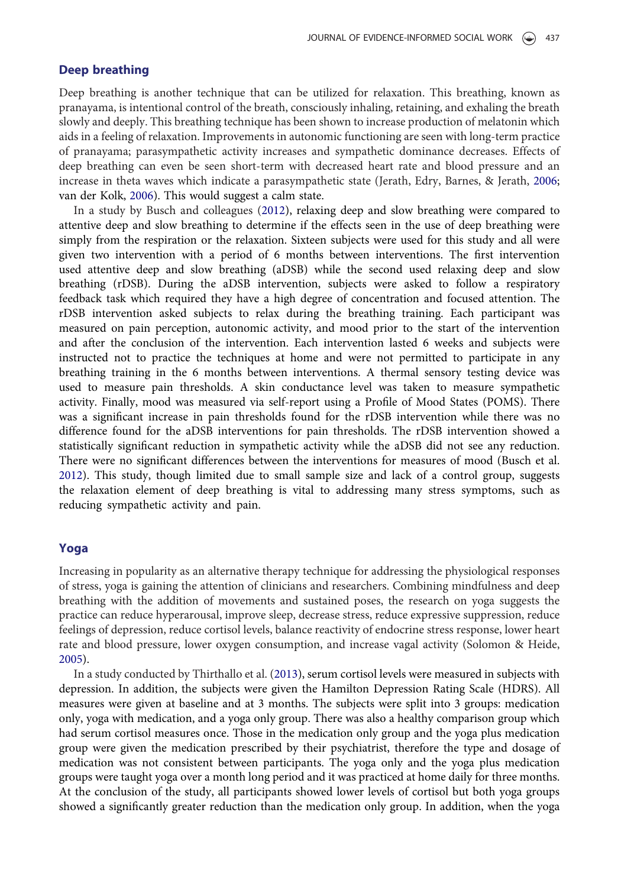## Deep breathing

Deep breathing is another technique that can be utilized for relaxation. This breathing, known as pranayama, is intentional control of the breath, consciously inhaling, retaining, and exhaling the breath slowly and deeply. This breathing technique has been shown to increase production of melatonin which aids in a feeling of relaxation. Improvements in autonomic functioning are seen with long-term practice of pranayama; parasympathetic activity increases and sympathetic dominance decreases. Effects of deep breathing can even be seen short-term with decreased heart rate and blood pressure and an increase in theta waves which indicate a parasympathetic state (Jerath, Edry, Barnes, & Jerath, 2006; van der Kolk, 2006). This would suggest a calm state.

In a study by Busch and colleagues (2012), relaxing deep and slow breathing were compared to attentive deep and slow breathing to determine if the effects seen in the use of deep breathing were simply from the respiration or the relaxation. Sixteen subjects were used for this study and all were given two intervention with a period of 6 months between interventions. The first intervention used attentive deep and slow breathing (aDSB) while the second used relaxing deep and slow breathing (rDSB). During the aDSB intervention, subjects were asked to follow a respiratory feedback task which required they have a high degree of concentration and focused attention. The rDSB intervention asked subjects to relax during the breathing training. Each participant was measured on pain perception, autonomic activity, and mood prior to the start of the intervention and after the conclusion of the intervention. Each intervention lasted 6 weeks and subjects were instructed not to practice the techniques at home and were not permitted to participate in any breathing training in the 6 months between interventions. A thermal sensory testing device was used to measure pain thresholds. A skin conductance level was taken to measure sympathetic activity. Finally, mood was measured via self-report using a Profile of Mood States (POMS). There was a significant increase in pain thresholds found for the rDSB intervention while there was no difference found for the aDSB interventions for pain thresholds. The rDSB intervention showed a statistically significant reduction in sympathetic activity while the aDSB did not see any reduction. There were no significant differences between the interventions for measures of mood (Busch et al. 2012). This study, though limited due to small sample size and lack of a control group, suggests the relaxation element of deep breathing is vital to addressing many stress symptoms, such as reducing sympathetic activity and pain.

## Yoga

Increasing in popularity as an alternative therapy technique for addressing the physiological responses of stress, yoga is gaining the attention of clinicians and researchers. Combining mindfulness and deep breathing with the addition of movements and sustained poses, the research on yoga suggests the practice can reduce hyperarousal, improve sleep, decrease stress, reduce expressive suppression, reduce feelings of depression, reduce cortisol levels, balance reactivity of endocrine stress response, lower heart rate and blood pressure, lower oxygen consumption, and increase vagal activity (Solomon & Heide, 2005).

In a study conducted by Thirthallo et al. (2013), serum cortisol levels were measured in subjects with depression. In addition, the subjects were given the Hamilton Depression Rating Scale (HDRS). All measures were given at baseline and at 3 months. The subjects were split into 3 groups: medication only, yoga with medication, and a yoga only group. There was also a healthy comparison group which had serum cortisol measures once. Those in the medication only group and the yoga plus medication group were given the medication prescribed by their psychiatrist, therefore the type and dosage of medication was not consistent between participants. The yoga only and the yoga plus medication groups were taught yoga over a month long period and it was practiced at home daily for three months. At the conclusion of the study, all participants showed lower levels of cortisol but both yoga groups showed a significantly greater reduction than the medication only group. In addition, when the yoga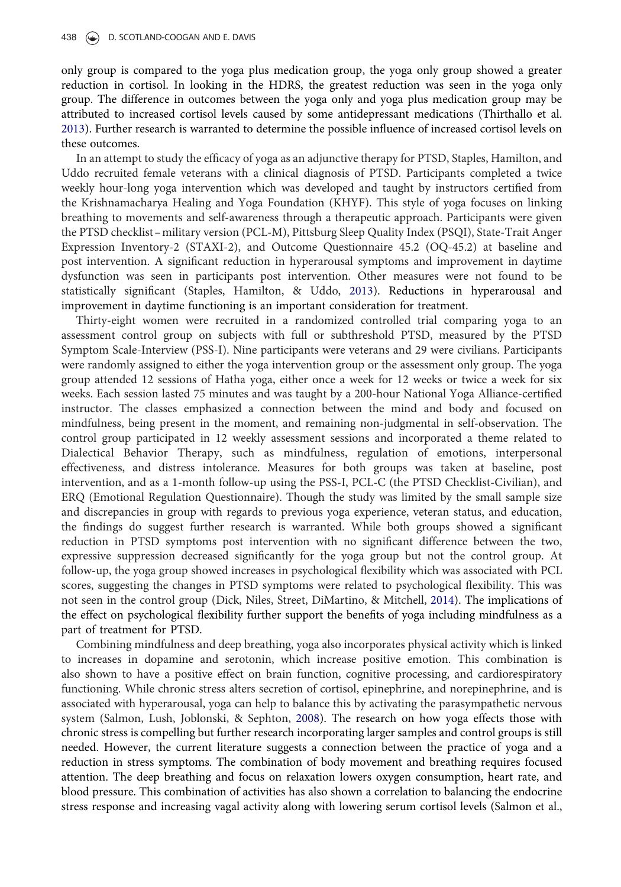only group is compared to the yoga plus medication group, the yoga only group showed a greater reduction in cortisol. In looking in the HDRS, the greatest reduction was seen in the yoga only group. The difference in outcomes between the yoga only and yoga plus medication group may be attributed to increased cortisol levels caused by some antidepressant medications (Thirthallo et al. 2013). Further research is warranted to determine the possible influence of increased cortisol levels on these outcomes.

In an attempt to study the efficacy of yoga as an adjunctive therapy for PTSD, Staples, Hamilton, and Uddo recruited female veterans with a clinical diagnosis of PTSD. Participants completed a twice weekly hour-long yoga intervention which was developed and taught by instructors certified from the Krishnamacharya Healing and Yoga Foundation (KHYF). This style of yoga focuses on linking breathing to movements and self-awareness through a therapeutic approach. Participants were given the PTSD checklist–military version (PCL-M), Pittsburg Sleep Quality Index (PSQI), State-Trait Anger Expression Inventory-2 (STAXI-2), and Outcome Questionnaire 45.2 (OQ-45.2) at baseline and post intervention. A significant reduction in hyperarousal symptoms and improvement in daytime dysfunction was seen in participants post intervention. Other measures were not found to be statistically significant (Staples, Hamilton, & Uddo, 2013). Reductions in hyperarousal and improvement in daytime functioning is an important consideration for treatment.

Thirty-eight women were recruited in a randomized controlled trial comparing yoga to an assessment control group on subjects with full or subthreshold PTSD, measured by the PTSD Symptom Scale-Interview (PSS-I). Nine participants were veterans and 29 were civilians. Participants were randomly assigned to either the yoga intervention group or the assessment only group. The yoga group attended 12 sessions of Hatha yoga, either once a week for 12 weeks or twice a week for six weeks. Each session lasted 75 minutes and was taught by a 200-hour National Yoga Alliance-certified instructor. The classes emphasized a connection between the mind and body and focused on mindfulness, being present in the moment, and remaining non-judgmental in self-observation. The control group participated in 12 weekly assessment sessions and incorporated a theme related to Dialectical Behavior Therapy, such as mindfulness, regulation of emotions, interpersonal effectiveness, and distress intolerance. Measures for both groups was taken at baseline, post intervention, and as a 1-month follow-up using the PSS-I, PCL-C (the PTSD Checklist-Civilian), and ERQ (Emotional Regulation Questionnaire). Though the study was limited by the small sample size and discrepancies in group with regards to previous yoga experience, veteran status, and education, the findings do suggest further research is warranted. While both groups showed a significant reduction in PTSD symptoms post intervention with no significant difference between the two, expressive suppression decreased significantly for the yoga group but not the control group. At follow-up, the yoga group showed increases in psychological flexibility which was associated with PCL scores, suggesting the changes in PTSD symptoms were related to psychological flexibility. This was not seen in the control group (Dick, Niles, Street, DiMartino, & Mitchell, 2014). The implications of the effect on psychological flexibility further support the benefits of yoga including mindfulness as a part of treatment for PTSD.

Combining mindfulness and deep breathing, yoga also incorporates physical activity which is linked to increases in dopamine and serotonin, which increase positive emotion. This combination is also shown to have a positive effect on brain function, cognitive processing, and cardiorespiratory functioning. While chronic stress alters secretion of cortisol, epinephrine, and norepinephrine, and is associated with hyperarousal, yoga can help to balance this by activating the parasympathetic nervous system (Salmon, Lush, Joblonski, & Sephton, 2008). The research on how yoga effects those with chronic stress is compelling but further research incorporating larger samples and control groups is still needed. However, the current literature suggests a connection between the practice of yoga and a reduction in stress symptoms. The combination of body movement and breathing requires focused attention. The deep breathing and focus on relaxation lowers oxygen consumption, heart rate, and blood pressure. This combination of activities has also shown a correlation to balancing the endocrine stress response and increasing vagal activity along with lowering serum cortisol levels (Salmon et al.,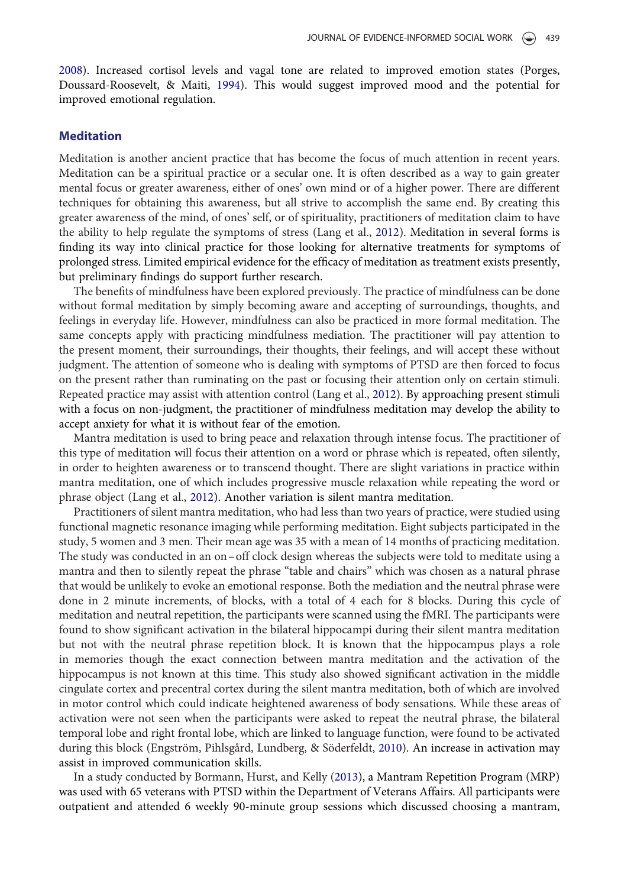2008). Increased cortisol levels and vagal tone are related to improved emotion states (Porges, Doussard-Roosevelt, & Maiti, 1994). This would suggest improved mood and the potential for improved emotional regulation.

#### Meditation

Meditation is another ancient practice that has become the focus of much attention in recent years. Meditation can be a spiritual practice or a secular one. It is often described as a way to gain greater mental focus or greater awareness, either of ones' own mind or of a higher power. There are different techniques for obtaining this awareness, but all strive to accomplish the same end. By creating this greater awareness of the mind, of ones' self, or of spirituality, practitioners of meditation claim to have the ability to help regulate the symptoms of stress (Lang et al., 2012). Meditation in several forms is finding its way into clinical practice for those looking for alternative treatments for symptoms of prolonged stress. Limited empirical evidence for the efficacy of meditation as treatment exists presently, but preliminary findings do support further research.

The benefits of mindfulness have been explored previously. The practice of mindfulness can be done without formal meditation by simply becoming aware and accepting of surroundings, thoughts, and feelings in everyday life. However, mindfulness can also be practiced in more formal meditation. The same concepts apply with practicing mindfulness mediation. The practitioner will pay attention to the present moment, their surroundings, their thoughts, their feelings, and will accept these without judgment. The attention of someone who is dealing with symptoms of PTSD are then forced to focus on the present rather than ruminating on the past or focusing their attention only on certain stimuli. Repeated practice may assist with attention control (Lang et al., 2012). By approaching present stimuli with a focus on non-judgment, the practitioner of mindfulness meditation may develop the ability to accept anxiety for what it is without fear of the emotion.

Mantra meditation is used to bring peace and relaxation through intense focus. The practitioner of this type of meditation will focus their attention on a word or phrase which is repeated, often silently, in order to heighten awareness or to transcend thought. There are slight variations in practice within mantra meditation, one of which includes progressive muscle relaxation while repeating the word or phrase object (Lang et al., 2012). Another variation is silent mantra meditation.

Practitioners of silent mantra meditation, who had less than two years of practice, were studied using functional magnetic resonance imaging while performing meditation. Eight subjects participated in the study, 5 women and 3 men. Their mean age was 35 with a mean of 14 months of practicing meditation. The study was conducted in an on–off clock design whereas the subjects were told to meditate using a mantra and then to silently repeat the phrase "table and chairs" which was chosen as a natural phrase that would be unlikely to evoke an emotional response. Both the mediation and the neutral phrase were done in 2 minute increments, of blocks, with a total of 4 each for 8 blocks. During this cycle of meditation and neutral repetition, the participants were scanned using the fMRI. The participants were found to show significant activation in the bilateral hippocampi during their silent mantra meditation but not with the neutral phrase repetition block. It is known that the hippocampus plays a role in memories though the exact connection between mantra meditation and the activation of the hippocampus is not known at this time. This study also showed significant activation in the middle cingulate cortex and precentral cortex during the silent mantra meditation, both of which are involved in motor control which could indicate heightened awareness of body sensations. While these areas of activation were not seen when the participants were asked to repeat the neutral phrase, the bilateral temporal lobe and right frontal lobe, which are linked to language function, were found to be activated during this block (Engström, Pihlsgård, Lundberg, & Söderfeldt, 2010). An increase in activation may assist in improved communication skills.

In a study conducted by Bormann, Hurst, and Kelly (2013), a Mantram Repetition Program (MRP) was used with 65 veterans with PTSD within the Department of Veterans Affairs. All participants were outpatient and attended 6 weekly 90-minute group sessions which discussed choosing a mantram,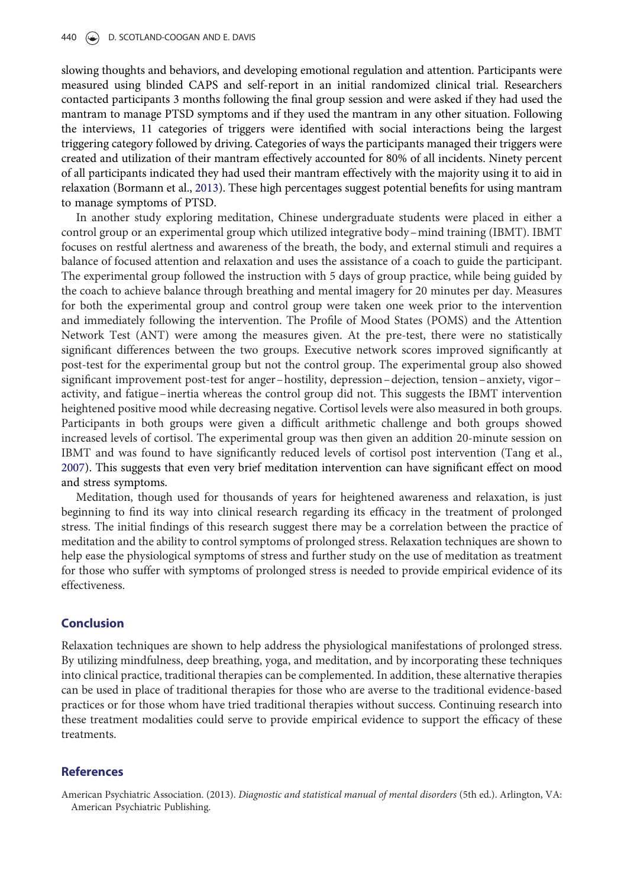slowing thoughts and behaviors, and developing emotional regulation and attention. Participants were measured using blinded CAPS and self-report in an initial randomized clinical trial. Researchers contacted participants 3 months following the final group session and were asked if they had used the mantram to manage PTSD symptoms and if they used the mantram in any other situation. Following the interviews, 11 categories of triggers were identified with social interactions being the largest triggering category followed by driving. Categories of ways the participants managed their triggers were created and utilization of their mantram effectively accounted for 80% of all incidents. Ninety percent of all participants indicated they had used their mantram effectively with the majority using it to aid in relaxation (Bormann et al., 2013). These high percentages suggest potential benefits for using mantram to manage symptoms of PTSD.

In another study exploring meditation, Chinese undergraduate students were placed in either a control group or an experimental group which utilized integrative body–mind training (IBMT). IBMT focuses on restful alertness and awareness of the breath, the body, and external stimuli and requires a balance of focused attention and relaxation and uses the assistance of a coach to guide the participant. The experimental group followed the instruction with 5 days of group practice, while being guided by the coach to achieve balance through breathing and mental imagery for 20 minutes per day. Measures for both the experimental group and control group were taken one week prior to the intervention and immediately following the intervention. The Profile of Mood States (POMS) and the Attention Network Test (ANT) were among the measures given. At the pre-test, there were no statistically significant differences between the two groups. Executive network scores improved significantly at post-test for the experimental group but not the control group. The experimental group also showed significant improvement post-test for anger–hostility, depression–dejection, tension–anxiety, vigor– activity, and fatigue–inertia whereas the control group did not. This suggests the IBMT intervention heightened positive mood while decreasing negative. Cortisol levels were also measured in both groups. Participants in both groups were given a difficult arithmetic challenge and both groups showed increased levels of cortisol. The experimental group was then given an addition 20-minute session on IBMT and was found to have significantly reduced levels of cortisol post intervention (Tang et al., 2007). This suggests that even very brief meditation intervention can have significant effect on mood and stress symptoms.

Meditation, though used for thousands of years for heightened awareness and relaxation, is just beginning to find its way into clinical research regarding its efficacy in the treatment of prolonged stress. The initial findings of this research suggest there may be a correlation between the practice of meditation and the ability to control symptoms of prolonged stress. Relaxation techniques are shown to help ease the physiological symptoms of stress and further study on the use of meditation as treatment for those who suffer with symptoms of prolonged stress is needed to provide empirical evidence of its effectiveness.

## Conclusion

Relaxation techniques are shown to help address the physiological manifestations of prolonged stress. By utilizing mindfulness, deep breathing, yoga, and meditation, and by incorporating these techniques into clinical practice, traditional therapies can be complemented. In addition, these alternative therapies can be used in place of traditional therapies for those who are averse to the traditional evidence-based practices or for those whom have tried traditional therapies without success. Continuing research into these treatment modalities could serve to provide empirical evidence to support the efficacy of these treatments.

#### References

American Psychiatric Association. (2013). Diagnostic and statistical manual of mental disorders (5th ed.). Arlington, VA: American Psychiatric Publishing.